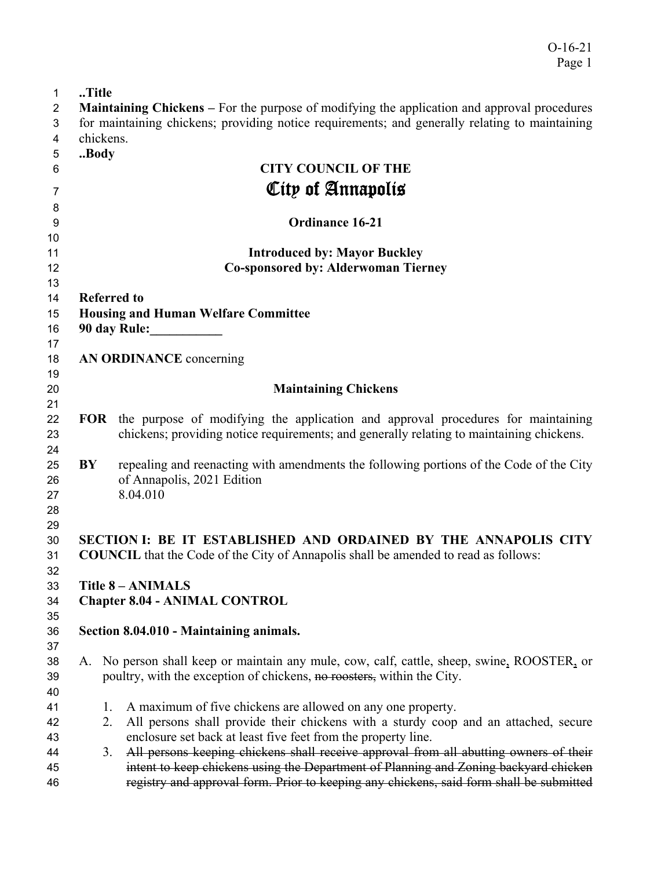O-16-21 Page 1

| $\mathbf{1}$   | Title |                                                                                                    |
|----------------|-------|----------------------------------------------------------------------------------------------------|
| $\overline{2}$ |       | <b>Maintaining Chickens</b> – For the purpose of modifying the application and approval procedures |
| 3              |       | for maintaining chickens; providing notice requirements; and generally relating to maintaining     |
| 4              |       | chickens.                                                                                          |
| 5              | Body  |                                                                                                    |
| 6              |       | <b>CITY COUNCIL OF THE</b>                                                                         |
|                |       | City of Annapolis                                                                                  |
| 7              |       |                                                                                                    |
| 8              |       |                                                                                                    |
| 9              |       | <b>Ordinance 16-21</b>                                                                             |
| 10             |       |                                                                                                    |
| 11             |       | <b>Introduced by: Mayor Buckley</b>                                                                |
| 12             |       | <b>Co-sponsored by: Alderwoman Tierney</b>                                                         |
| 13             |       |                                                                                                    |
| 14             |       | <b>Referred to</b>                                                                                 |
| 15<br>16       |       | <b>Housing and Human Welfare Committee</b><br>90 day Rule:                                         |
| 17             |       |                                                                                                    |
| 18             |       | AN ORDINANCE concerning                                                                            |
| 19             |       |                                                                                                    |
| 20             |       | <b>Maintaining Chickens</b>                                                                        |
| 21             |       |                                                                                                    |
| 22             |       | FOR the purpose of modifying the application and approval procedures for maintaining               |
| 23             |       | chickens; providing notice requirements; and generally relating to maintaining chickens.           |
| 24             |       |                                                                                                    |
| 25             | BY    | repealing and reenacting with amendments the following portions of the Code of the City            |
| 26             |       | of Annapolis, 2021 Edition                                                                         |
| 27             |       | 8.04.010                                                                                           |
| 28             |       |                                                                                                    |
| 29             |       |                                                                                                    |
| 30             |       | SECTION I: BE IT ESTABLISHED AND ORDAINED BY THE ANNAPOLIS CITY                                    |
| 31             |       | <b>COUNCIL</b> that the Code of the City of Annapolis shall be amended to read as follows:         |
| 32             |       |                                                                                                    |
| 33             |       | <b>Title 8 - ANIMALS</b>                                                                           |
| 34             |       | <b>Chapter 8.04 - ANIMAL CONTROL</b>                                                               |
| 35             |       |                                                                                                    |
| 36             |       | Section 8.04.010 - Maintaining animals.                                                            |
| 37             |       |                                                                                                    |
| 38             |       | A. No person shall keep or maintain any mule, cow, calf, cattle, sheep, swine, ROOSTER, or         |
| 39             |       | poultry, with the exception of chickens, no roosters, within the City.                             |
| 40             |       |                                                                                                    |
| 41             |       | A maximum of five chickens are allowed on any one property.<br>1.                                  |
| 42             |       | All persons shall provide their chickens with a sturdy coop and an attached, secure<br>2.          |
| 43             |       | enclosure set back at least five feet from the property line.                                      |
| 44             |       | All persons keeping chickens shall receive approval from all abutting owners of their<br>3.        |
| 45             |       | intent to keep chickens using the Department of Planning and Zoning backyard chicken               |
| 46             |       | registry and approval form. Prior to keeping any chickens, said form shall be submitted            |